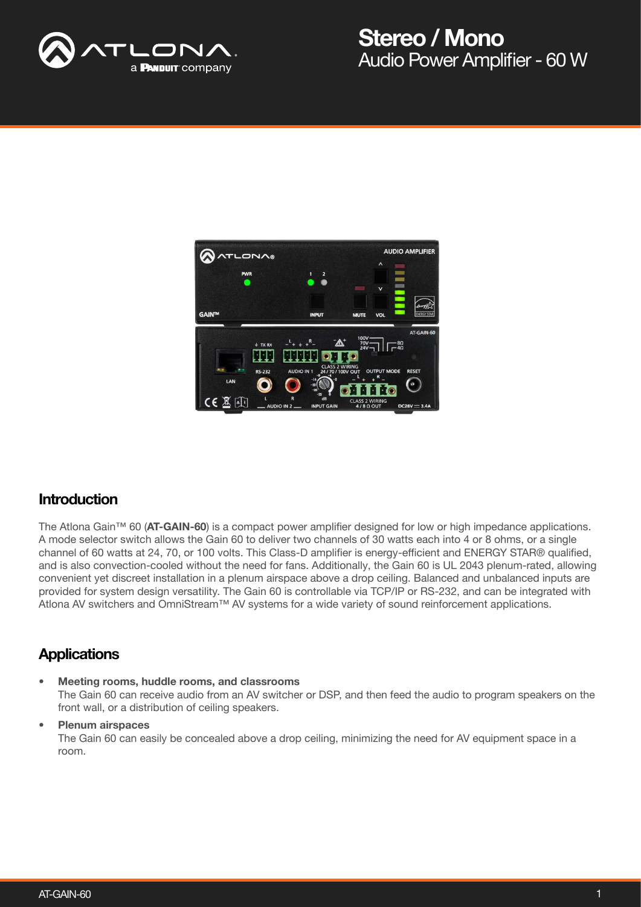



#### **Introduction**

The Atlona Gain™ 60 (AT-GAIN-60) is a compact power amplifier designed for low or high impedance applications. A mode selector switch allows the Gain 60 to deliver two channels of 30 watts each into 4 or 8 ohms, or a single channel of 60 watts at 24, 70, or 100 volts. This Class-D amplifier is energy-efficient and ENERGY STAR® qualified, and is also convection-cooled without the need for fans. Additionally, the Gain 60 is UL 2043 plenum-rated, allowing convenient yet discreet installation in a plenum airspace above a drop ceiling. Balanced and unbalanced inputs are provided for system design versatility. The Gain 60 is controllable via TCP/IP or RS-232, and can be integrated with Atlona AV switchers and OmniStream™ AV systems for a wide variety of sound reinforcement applications.

#### **Applications**

• Meeting rooms, huddle rooms, and classrooms The Gain 60 can receive audio from an AV switcher or DSP, and then feed the audio to program speakers on the front wall, or a distribution of ceiling speakers.

#### Plenum airspaces

The Gain 60 can easily be concealed above a drop ceiling, minimizing the need for AV equipment space in a room.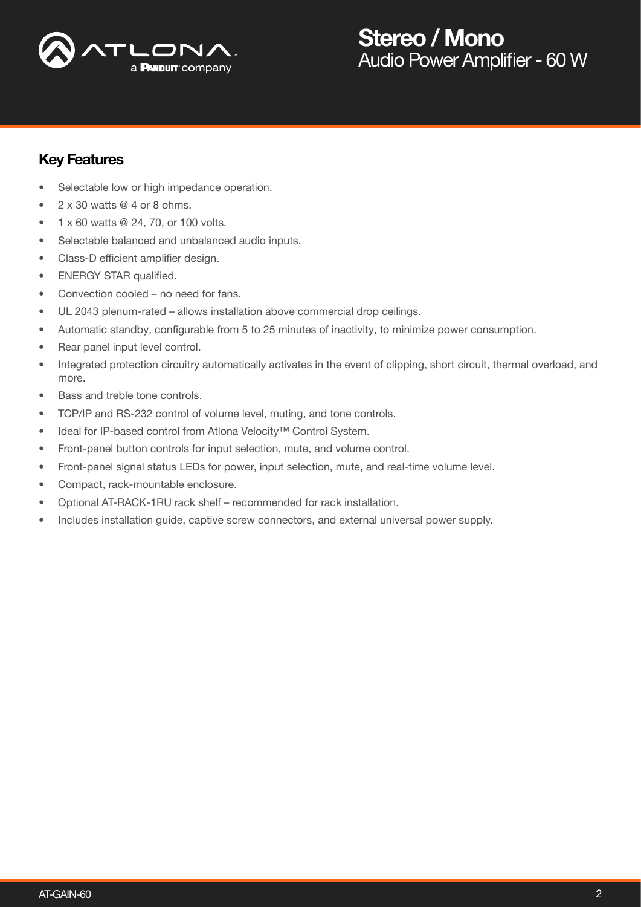

#### Key Features

- Selectable low or high impedance operation.
- $2 \times 30$  watts  $@$  4 or 8 ohms.
- 1 x 60 watts @ 24, 70, or 100 volts.
- Selectable balanced and unbalanced audio inputs.
- Class-D efficient amplifier design.
- ENERGY STAR qualified.
- Convection cooled no need for fans.
- UL 2043 plenum-rated allows installation above commercial drop ceilings.
- Automatic standby, configurable from 5 to 25 minutes of inactivity, to minimize power consumption.
- Rear panel input level control.
- Integrated protection circuitry automatically activates in the event of clipping, short circuit, thermal overload, and more.
- Bass and treble tone controls.
- TCP/IP and RS-232 control of volume level, muting, and tone controls.
- Ideal for IP-based control from Atlona Velocity™ Control System.
- Front-panel button controls for input selection, mute, and volume control.
- Front-panel signal status LEDs for power, input selection, mute, and real-time volume level.
- Compact, rack-mountable enclosure.
- Optional AT-RACK-1RU rack shelf recommended for rack installation.
- Includes installation guide, captive screw connectors, and external universal power supply.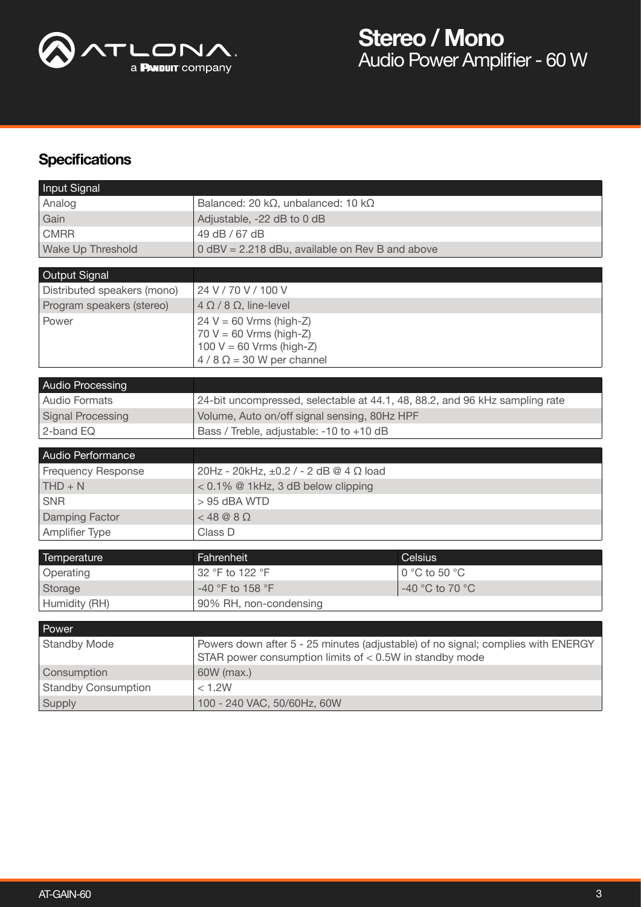

## **Specifications**

| Input Signal                |                                                                                                                                               |                                              |  |
|-----------------------------|-----------------------------------------------------------------------------------------------------------------------------------------------|----------------------------------------------|--|
| Analog                      | Balanced: 20 k $\Omega$ , unbalanced: 10 k $\Omega$                                                                                           |                                              |  |
| Gain                        | Adjustable, -22 dB to 0 dB                                                                                                                    |                                              |  |
| <b>CMRR</b>                 | 49 dB / 67 dB                                                                                                                                 |                                              |  |
| Wake Up Threshold           | 0 dBV = 2.218 dBu, available on Rev B and above                                                                                               |                                              |  |
|                             |                                                                                                                                               |                                              |  |
| Output Signal               |                                                                                                                                               |                                              |  |
| Distributed speakers (mono) | 24 V / 70 V / 100 V                                                                                                                           |                                              |  |
| Program speakers (stereo)   | $4 \Omega / 8 \Omega$ , line-level                                                                                                            |                                              |  |
| Power                       | $24 V = 60 Vrms (high-Z)$                                                                                                                     |                                              |  |
|                             | $70 V = 60 V$ rms (high-Z)<br>100 $V = 60$ Vrms (high-Z)                                                                                      |                                              |  |
|                             | $4/8 \Omega = 30$ W per channel                                                                                                               |                                              |  |
|                             |                                                                                                                                               |                                              |  |
| <b>Audio Processing</b>     |                                                                                                                                               |                                              |  |
| <b>Audio Formats</b>        | 24-bit uncompressed, selectable at 44.1, 48, 88.2, and 96 kHz sampling rate                                                                   |                                              |  |
| <b>Signal Processing</b>    |                                                                                                                                               | Volume, Auto on/off signal sensing, 80Hz HPF |  |
| 2-band EQ                   | Bass / Treble, adjustable: -10 to +10 dB                                                                                                      |                                              |  |
|                             |                                                                                                                                               |                                              |  |
|                             |                                                                                                                                               |                                              |  |
| Audio Performance           |                                                                                                                                               |                                              |  |
| <b>Frequency Response</b>   | 20Hz - 20kHz, ±0.2 / - 2 dB @ 4 Ω load                                                                                                        |                                              |  |
| $THD + N$                   | < 0.1% @ 1kHz, 3 dB below clipping                                                                                                            |                                              |  |
| <b>SNR</b>                  | $> 95$ dBA WTD                                                                                                                                |                                              |  |
| <b>Damping Factor</b>       | $<$ 48 @ 8 $\Omega$                                                                                                                           |                                              |  |
| <b>Amplifier Type</b>       | Class D                                                                                                                                       |                                              |  |
|                             |                                                                                                                                               |                                              |  |
| Temperature                 | Fahrenheit                                                                                                                                    | <b>Celsius</b>                               |  |
| Operating                   | 32 °F to 122 °F                                                                                                                               | 0 °C to 50 °C                                |  |
| Storage                     | -40 °F to 158 °F                                                                                                                              | -40 °C to 70 °C                              |  |
| Humidity (RH)               | 90% RH, non-condensing                                                                                                                        |                                              |  |
| Power                       |                                                                                                                                               |                                              |  |
| <b>Standby Mode</b>         | Powers down after 5 - 25 minutes (adjustable) of no signal; complies with ENERGY<br>STAR power consumption limits of $<$ 0.5W in standby mode |                                              |  |
| Consumption                 | 60W (max.)                                                                                                                                    |                                              |  |
| <b>Standby Consumption</b>  | < 1.2W                                                                                                                                        |                                              |  |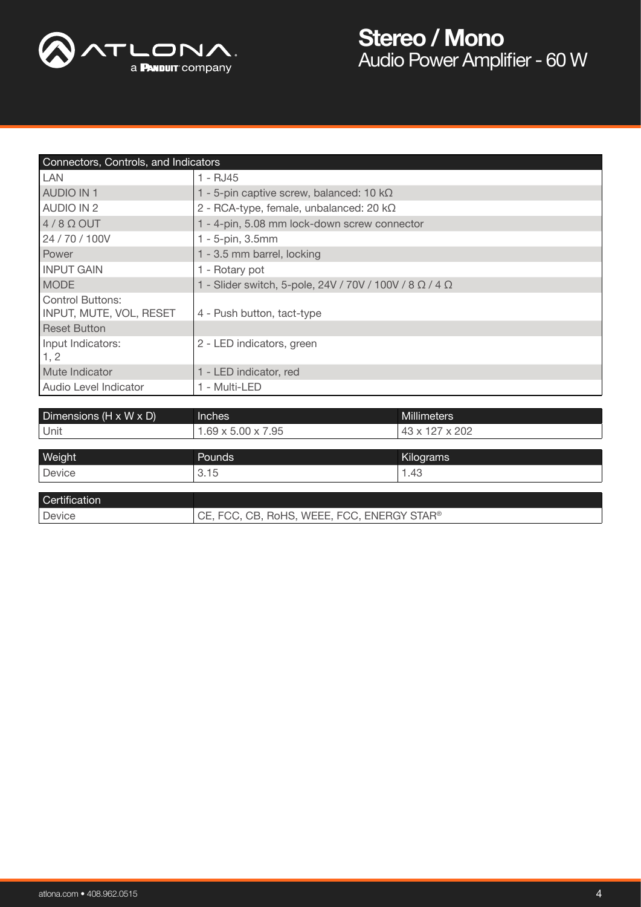

| Connectors, Controls, and Indicators               |                                                                       |  |  |  |
|----------------------------------------------------|-----------------------------------------------------------------------|--|--|--|
| LAN                                                | 1 - RJ45                                                              |  |  |  |
| <b>AUDIO IN 1</b>                                  | 1 - 5-pin captive screw, balanced: 10 $k\Omega$                       |  |  |  |
| <b>AUDIO IN 2</b>                                  | 2 - RCA-type, female, unbalanced: 20 $k\Omega$                        |  |  |  |
| $4/8$ $\Omega$ OUT                                 | 1 - 4-pin, 5.08 mm lock-down screw connector                          |  |  |  |
| 24 / 70 / 100V                                     | 1 - 5-pin, 3.5mm                                                      |  |  |  |
| Power                                              | 1 - 3.5 mm barrel, locking                                            |  |  |  |
| <b>INPUT GAIN</b>                                  | 1 - Rotary pot                                                        |  |  |  |
| <b>MODE</b>                                        | 1 - Slider switch, 5-pole, 24V / 70V / 100V / 8 $\Omega$ / 4 $\Omega$ |  |  |  |
| <b>Control Buttons:</b><br>INPUT, MUTE, VOL, RESET | 4 - Push button, tact-type                                            |  |  |  |
| <b>Reset Button</b>                                |                                                                       |  |  |  |
| Input Indicators:<br>1, 2                          | 2 - LED indicators, green                                             |  |  |  |
| Mute Indicator                                     | 1 - LED indicator, red                                                |  |  |  |
| Audio Level Indicator                              | 1 - Multi-LED                                                         |  |  |  |

| Dimensions (H x W x D) | Inches                                   | <b>Millimeters</b> |
|------------------------|------------------------------------------|--------------------|
| Unit                   | $.69 \times 5$<br>.95<br>5.00<br>$X_{i}$ | x 202<br>י         |
|                        |                                          |                    |

| Weight        | <b>Pounds</b>                              | Kilograms |
|---------------|--------------------------------------------|-----------|
| Device        | 3.15                                       | 1.43      |
|               |                                            |           |
| Certification |                                            |           |
| Device        | CE, FCC, CB, RoHS, WEEE, FCC, ENERGY STAR® |           |